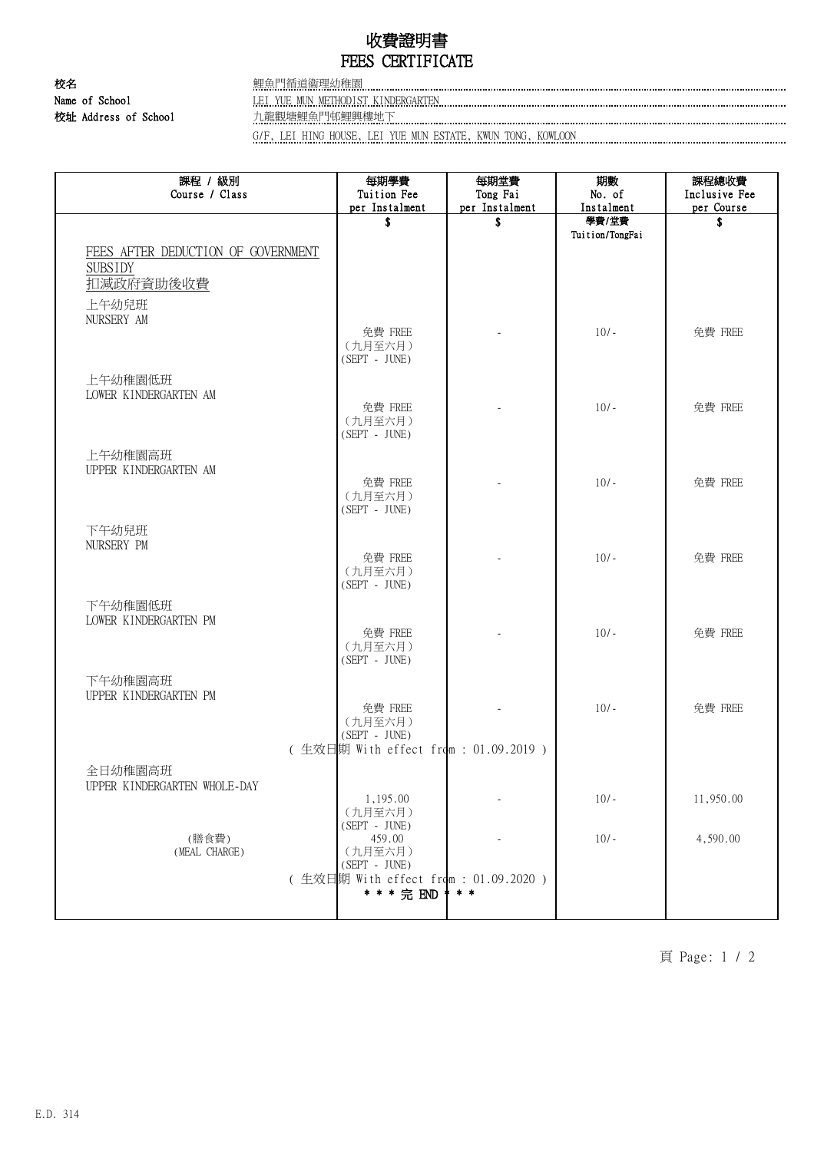# 收費證明書 FEES CERTIFICATE

校名 鯉魚門循道衞理幼稚園 校址 Address of School 九龍觀塘鯉魚門邨鯉興樓地下

Name of School **LEI YUE MUN METHODIST KINDERGARTEN Example 2014** 10 and 2014 10 and 2014 10 and 2014 10 and 2014 10 and 2014 10 and 2014 10 and 2014 10 and 2014 10 and 2014 10 and 2014 10 and 2014 10 and 2014 10 and 2014

G/F, LEI HING HOUSE, LEI YUE MUN ESTATE, KWUN TONG, KOWLOON

| 課程 / 級別<br>Course / Class          | 每期學費<br>Tuition Fee                   | 每期堂費<br>Tong Fai     | 期數<br>No. of        | 課程總收費<br>Inclusive Fee |
|------------------------------------|---------------------------------------|----------------------|---------------------|------------------------|
|                                    | per Instalment<br>\$                  | per Instalment<br>\$ | Instalment<br>學費/堂費 | per Course<br>\$       |
|                                    |                                       |                      | Tuition/TongFai     |                        |
| FEES AFTER DEDUCTION OF GOVERNMENT |                                       |                      |                     |                        |
| <b>SUBSIDY</b><br>扣减政府資助後收費        |                                       |                      |                     |                        |
|                                    |                                       |                      |                     |                        |
| 上午幼兒班<br>NURSERY AM                |                                       |                      |                     |                        |
|                                    | 免費 FREE                               |                      | $10/-$              | 免費 FREE                |
|                                    | (九月至六月)<br>$(SEPT - JUNE)$            |                      |                     |                        |
| 上午幼稚園低班                            |                                       |                      |                     |                        |
| LOWER KINDERGARTEN AM              |                                       |                      |                     |                        |
|                                    | 免費 FREE<br>(九月至六月)                    |                      | $10/-$              | 免費 FREE                |
|                                    | $(SEPT - JUNE)$                       |                      |                     |                        |
| 上午幼稚園高班                            |                                       |                      |                     |                        |
| UPPER KINDERGARTEN AM              | 免費 FREE                               |                      | $10/-$              | 免費 FREE                |
|                                    | (九月至六月)                               |                      |                     |                        |
|                                    | $(SEPT - JUNE)$                       |                      |                     |                        |
| 下午幼兒班                              |                                       |                      |                     |                        |
| NURSERY PM                         | 免費 FREE                               |                      | $10/-$              | 免費 FREE                |
|                                    | (九月至六月)<br>(SEPT - JUNE)              |                      |                     |                        |
| 下午幼稚園低班                            |                                       |                      |                     |                        |
| LOWER KINDERGARTEN PM              |                                       |                      |                     |                        |
|                                    | 免費 FREE                               |                      | $10/-$              | 免費 FREE                |
|                                    | (九月至六月)<br>$(SEPT - JUNE)$            |                      |                     |                        |
| 下午幼稚園高班                            |                                       |                      |                     |                        |
| UPPER KINDERGARTEN PM              |                                       |                      |                     |                        |
|                                    | 免費 FREE<br>(九月至六月)                    |                      | $10/-$              | 免費 FREE                |
|                                    | (SEPT - JUNE)                         |                      |                     |                        |
|                                    | (生效日期 With effect from: 01.09.2019)   |                      |                     |                        |
| 全日幼稚園高班                            |                                       |                      |                     |                        |
| UPPER KINDERGARTEN WHOLE-DAY       | 1,195.00                              |                      | $10/-$              | 11,950.00              |
|                                    | (九月至六月)<br>$(SEPT - JUNE)$            |                      |                     |                        |
| (膳食費)                              | 459.00                                |                      | $10/-$              | 4,590.00               |
| (MEAL CHARGE)                      | (九月至六月)<br>$(SEPT - JUNE)$            |                      |                     |                        |
|                                    | (生效日期 With effect from : 01.09.2020 ) |                      |                     |                        |
|                                    | * * * 完 END                           | * * *                |                     |                        |
|                                    |                                       |                      |                     |                        |

頁 Page: 1 / 2